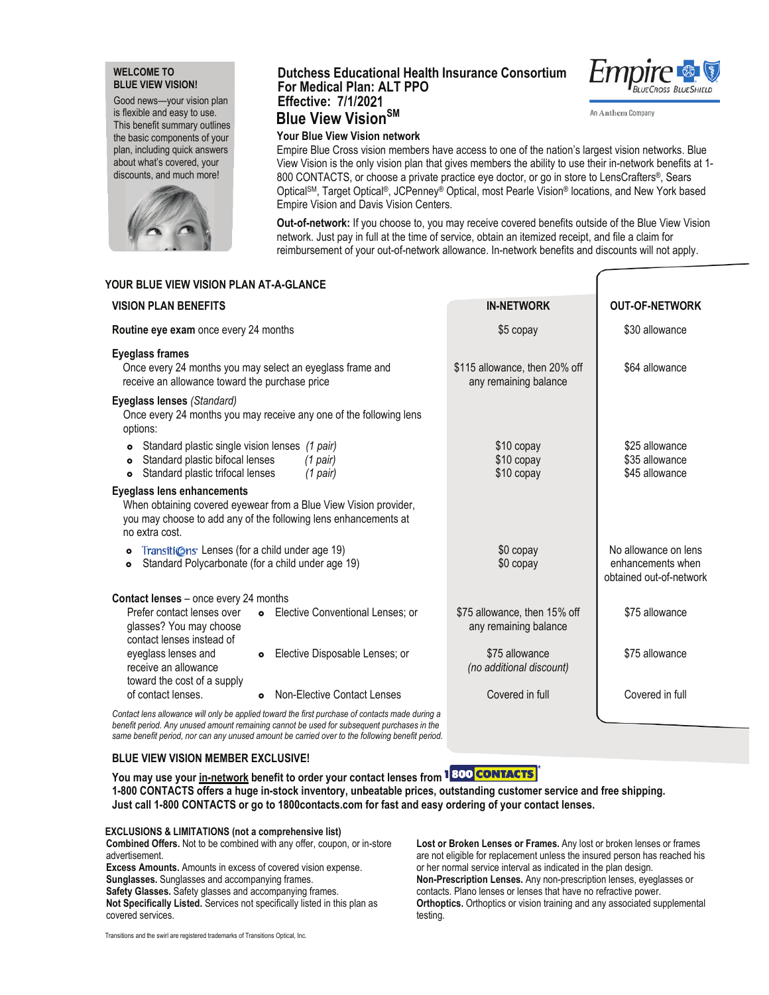### **WELCOME TO BLUE VIEW VISION!**

Good news—your vision plan is flexible and easy to use. This benefit summary outlines the basic components of your plan, including quick answers about what's covered, your discounts, and much more!



# **Dutchess Educational Health Insurance Consortium For Medical Plan: ALT PPO Effective: 7/1/20**21 **Blue View VisionSM**



An Anthem Company

# **Your Blue View Vision network**

Empire Blue Cross vision members have access to one of the nation's largest vision networks. Blue View Vision is the only vision plan that gives members the ability to use their in-network benefits at 1- 800 CONTACTS, or choose a private practice eye doctor, or go in store to LensCrafters®, Sears OpticalSM, Target Optical®, JCPenney® Optical, most Pearle Vision® locations, and New York based Empire Vision and Davis Vision Centers.

**Out-of-network:** If you choose to, you may receive covered benefits outside of the Blue View Vision network. Just pay in full at the time of service, obtain an itemized receipt, and file a claim for reimbursement of your out-of-network allowance. In-network benefits and discounts will not apply.

## **YOUR BLUE VIEW VISION PLAN AT-A-GLANCE**

| <b>VISION PLAN BENEFITS</b>                                                                                                                     |                                                                                                                                     | <b>IN-NETWORK</b>                                      | <b>OUT-OF-NETWORK</b>                                                |
|-------------------------------------------------------------------------------------------------------------------------------------------------|-------------------------------------------------------------------------------------------------------------------------------------|--------------------------------------------------------|----------------------------------------------------------------------|
| Routine eye exam once every 24 months                                                                                                           |                                                                                                                                     | \$5 copay                                              | \$30 allowance                                                       |
| <b>Eyeglass frames</b><br>Once every 24 months you may select an eyeglass frame and<br>receive an allowance toward the purchase price           |                                                                                                                                     | \$115 allowance, then 20% off<br>any remaining balance | \$64 allowance                                                       |
| Eyeglass lenses (Standard)<br>options:                                                                                                          | Once every 24 months you may receive any one of the following lens                                                                  |                                                        |                                                                      |
| Standard plastic single vision lenses (1 pair)<br>$\bullet$<br>Standard plastic bifocal lenses<br>Standard plastic trifocal lenses<br>$\bullet$ | $(1$ pair)<br>$(1$ pair)                                                                                                            | \$10 copay<br>\$10 copay<br>$$10$ copay                | \$25 allowance<br>\$35 allowance<br>\$45 allowance                   |
| <b>Eyeglass lens enhancements</b><br>no extra cost.                                                                                             | When obtaining covered eyewear from a Blue View Vision provider,<br>you may choose to add any of the following lens enhancements at |                                                        |                                                                      |
| Transitions Lenses (for a child under age 19)<br>$\bullet$<br>Standard Polycarbonate (for a child under age 19)<br>$\bullet$                    |                                                                                                                                     | \$0 copay<br>\$0 copay                                 | No allowance on lens<br>enhancements when<br>obtained out-of-network |
| <b>Contact lenses</b> – once every 24 months                                                                                                    |                                                                                                                                     |                                                        |                                                                      |
| Prefer contact lenses over<br>glasses? You may choose<br>contact lenses instead of                                                              | Elective Conventional Lenses; or<br>$\bullet$                                                                                       | \$75 allowance, then 15% off<br>any remaining balance  | \$75 allowance                                                       |
| eyeglass lenses and<br>receive an allowance<br>toward the cost of a supply                                                                      | Elective Disposable Lenses; or<br>$\bullet$                                                                                         | \$75 allowance<br>(no additional discount)             | \$75 allowance                                                       |
| of contact lenses.                                                                                                                              | Non-Elective Contact Lenses<br>$\bullet$                                                                                            | Covered in full                                        | Covered in full                                                      |
|                                                                                                                                                 | Contact lens allowance will only be applied toward the first purchase of contacts made during a                                     |                                                        |                                                                      |

*benefit period. Any unused amount remaining cannot be used for subsequent purchases in the same benefit period, nor can any unused amount be carried over to the following benefit period.*

### **BLUE VIEW VISION MEMBER EXCLUSIVE!**

**You may use your in-network benefit to order your contact lenses from 1800 <b>CONTACTS 1-800 CONTACTS offers a huge in-stock inventory, unbeatable prices, outstanding customer service and free shipping. Just call 1-800 CONTACTS or go to 1800contacts.com for fast and easy ordering of your contact lenses.**

### **EXCLUSIONS & LIMITATIONS (not a comprehensive list)**

**Combined Offers.** Not to be combined with any offer, coupon, or in-store advertisement.

**Excess Amounts.** Amounts in excess of covered vision expense. **Sunglasses.** Sunglasses and accompanying frames. **Safety Glasses.** Safety glasses and accompanying frames.

**Not Specifically Listed.** Services not specifically listed in this plan as covered services.

**Lost or Broken Lenses or Frames.** Any lost or broken lenses or frames are not eligible for replacement unless the insured person has reached his or her normal service interval as indicated in the plan design. **Non-Prescription Lenses.** Any non-prescription lenses, eyeglasses or contacts. Plano lenses or lenses that have no refractive power. **Orthoptics.** Orthoptics or vision training and any associated supplemental testing.

Transitions and the swirl are registered trademarks of Transitions Optical, Inc.